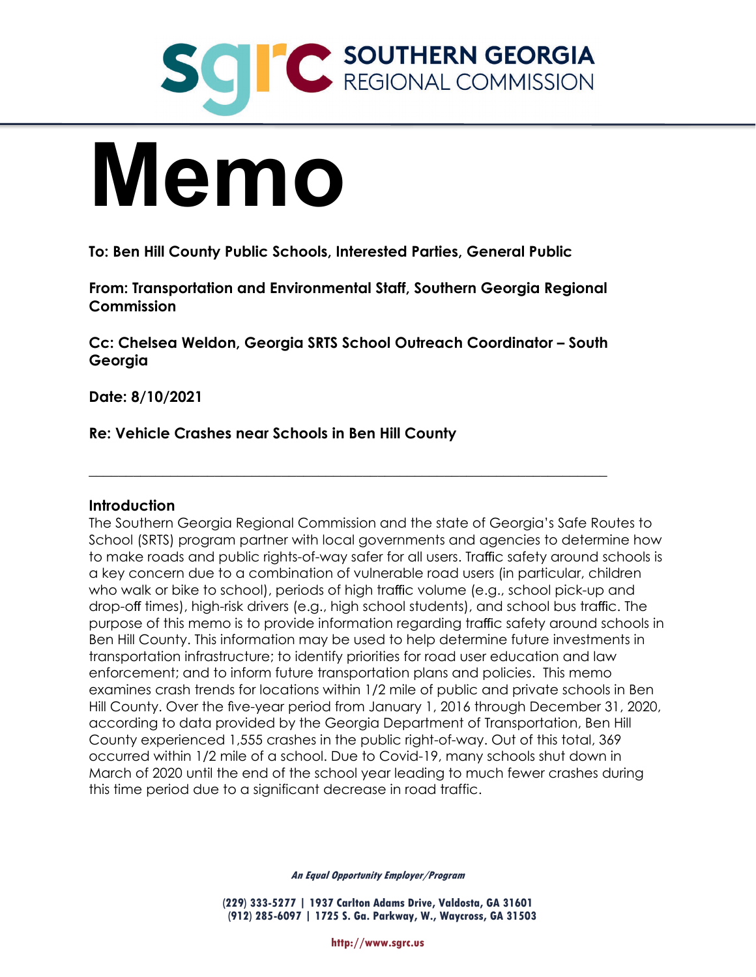

# **Memo**

**To: Ben Hill County Public Schools, Interested Parties, General Public**

**From: Transportation and Environmental Staff, Southern Georgia Regional Commission**

**Cc: Chelsea Weldon, Georgia SRTS School Outreach Coordinator – South Georgia**

 $\_$  , and the set of the set of the set of the set of the set of the set of the set of the set of the set of the set of the set of the set of the set of the set of the set of the set of the set of the set of the set of th

**Date: 8/10/2021**

**Re: Vehicle Crashes near Schools in Ben Hill County**

# **Introduction**

The Southern Georgia Regional Commission and the state of Georgia's Safe Routes to School (SRTS) program partner with local governments and agencies to determine how to make roads and public rights-of-way safer for all users. Traffic safety around schools is a key concern due to a combination of vulnerable road users (in particular, children who walk or bike to school), periods of high traffic volume (e.g., school pick-up and drop-off times), high-risk drivers (e.g., high school students), and school bus traffic. The purpose of this memo is to provide information regarding traffic safety around schools in Ben Hill County. This information may be used to help determine future investments in transportation infrastructure; to identify priorities for road user education and law enforcement; and to inform future transportation plans and policies. This memo examines crash trends for locations within 1/2 mile of public and private schools in Ben Hill County. Over the five-year period from January 1, 2016 through December 31, 2020, according to data provided by the Georgia Department of Transportation, Ben Hill County experienced 1,555 crashes in the public right-of-way. Out of this total, 369 occurred within 1/2 mile of a school. Due to Covid-19, many schools shut down in March of 2020 until the end of the school year leading to much fewer crashes during this time period due to a significant decrease in road traffic.

**An Equal Opportunity Employer/Program**

**(229) 333-5277 | 1937 Carlton Adams Drive, Valdosta, GA 31601 (912) 285-6097 | 1725 S. Ga. Parkway, W., Waycross, GA 31503**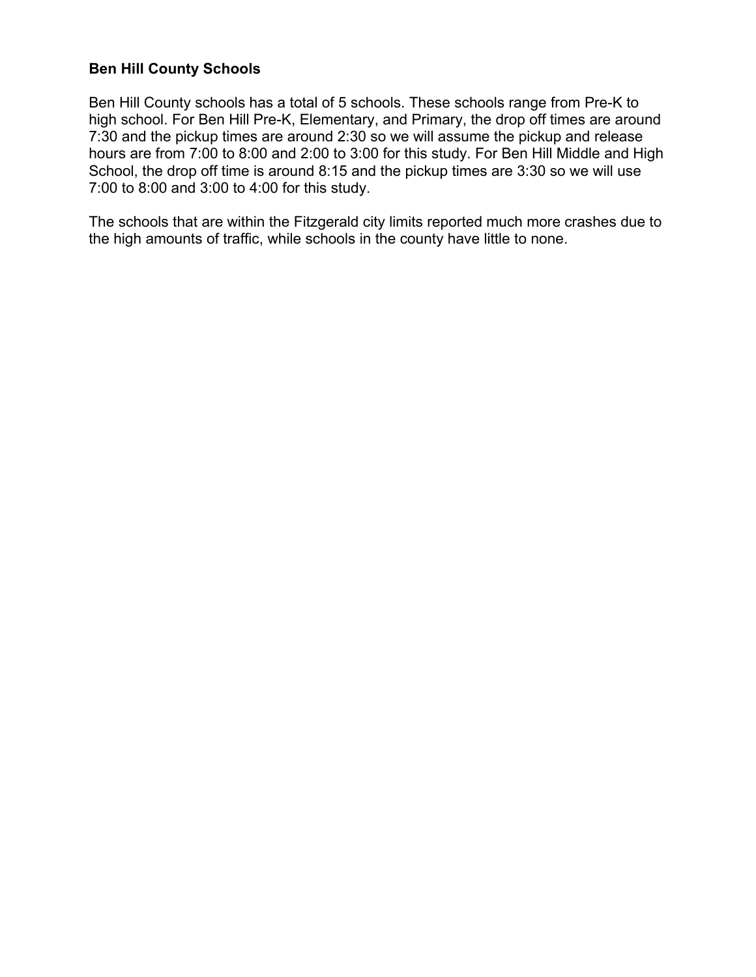## **Ben Hill County Schools**

Ben Hill County schools has a total of 5 schools. These schools range from Pre-K to high school. For Ben Hill Pre-K, Elementary, and Primary, the drop off times are around 7:30 and the pickup times are around 2:30 so we will assume the pickup and release hours are from 7:00 to 8:00 and 2:00 to 3:00 for this study. For Ben Hill Middle and High School, the drop off time is around 8:15 and the pickup times are 3:30 so we will use 7:00 to 8:00 and 3:00 to 4:00 for this study.

The schools that are within the Fitzgerald city limits reported much more crashes due to the high amounts of traffic, while schools in the county have little to none.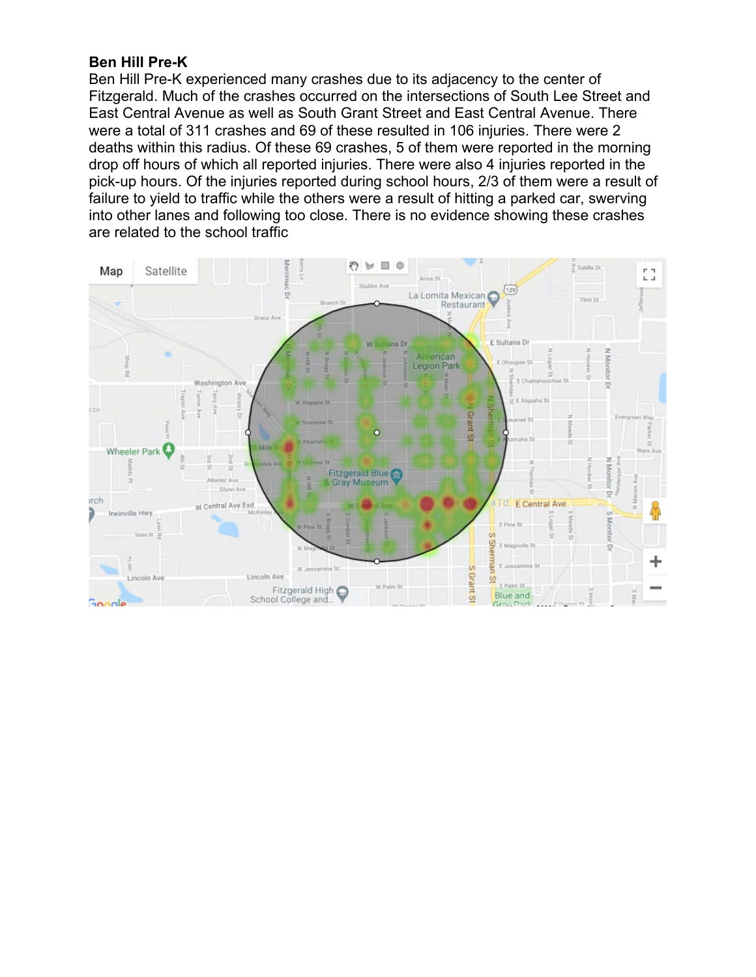### **Ben Hill Pre-K**

Ben Hill Pre-K experienced many crashes due to its adjacency to the center of Fitzgerald. Much of the crashes occurred on the intersections of South Lee Street and East Central Avenue as well as South Grant Street and East Central Avenue. There were a total of 311 crashes and 69 of these resulted in 106 injuries. There were 2 deaths within this radius. Of these 69 crashes, 5 of them were reported in the morning drop off hours of which all reported injuries. There were also 4 injuries reported in the pick-up hours. Of the injuries reported during school hours, 2/3 of them were a result of failure to yield to traffic while the others were a result of hitting a parked car, swerving into other lanes and following too close. There is no evidence showing these crashes are related to the school traffic

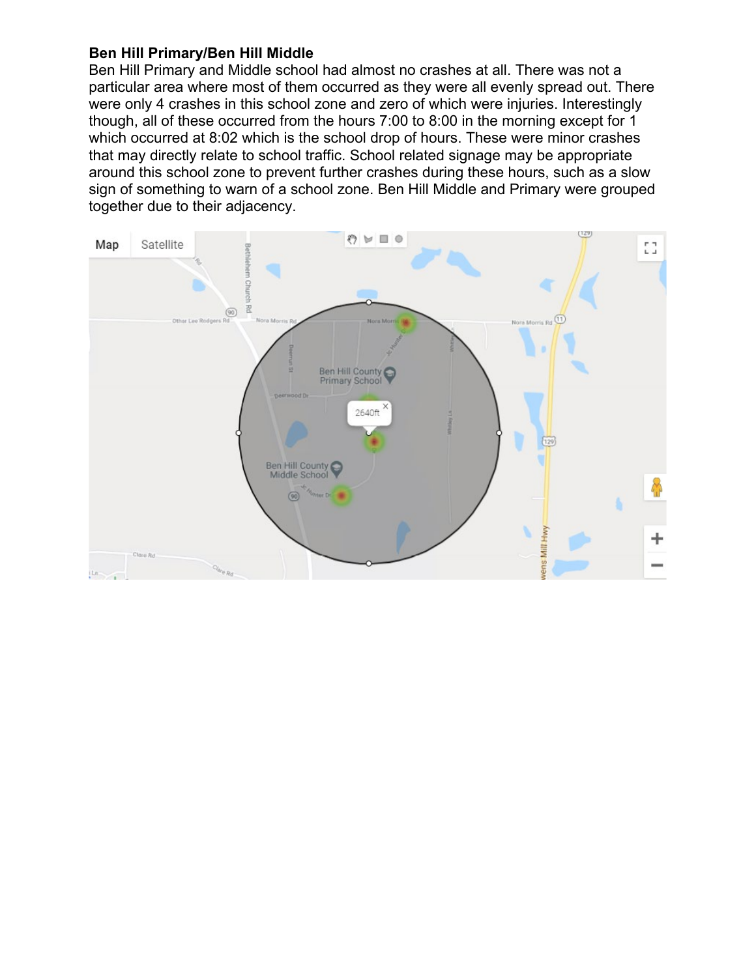## **Ben Hill Primary/Ben Hill Middle**

Ben Hill Primary and Middle school had almost no crashes at all. There was not a particular area where most of them occurred as they were all evenly spread out. There were only 4 crashes in this school zone and zero of which were injuries. Interestingly though, all of these occurred from the hours 7:00 to 8:00 in the morning except for 1 which occurred at 8:02 which is the school drop of hours. These were minor crashes that may directly relate to school traffic. School related signage may be appropriate around this school zone to prevent further crashes during these hours, such as a slow sign of something to warn of a school zone. Ben Hill Middle and Primary were grouped together due to their adjacency.

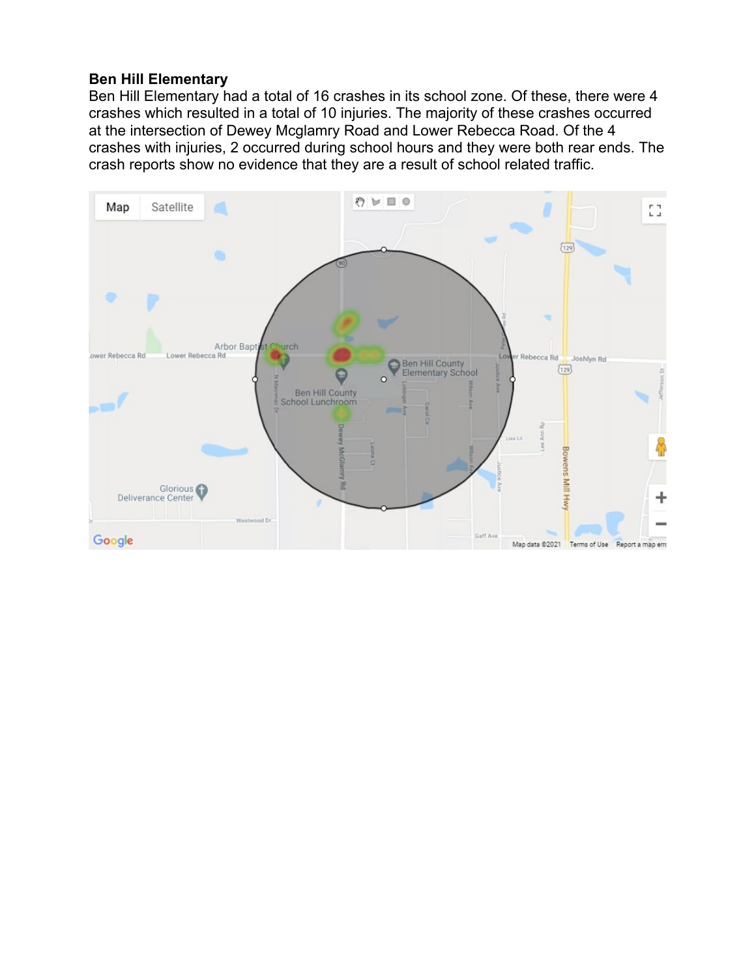## **Ben Hill Elementary**

Ben Hill Elementary had a total of 16 crashes in its school zone. Of these, there were 4 crashes which resulted in a total of 10 injuries. The majority of these crashes occurred at the intersection of Dewey Mcglamry Road and Lower Rebecca Road. Of the 4 crashes with injuries, 2 occurred during school hours and they were both rear ends. The crash reports show no evidence that they are a result of school related traffic.